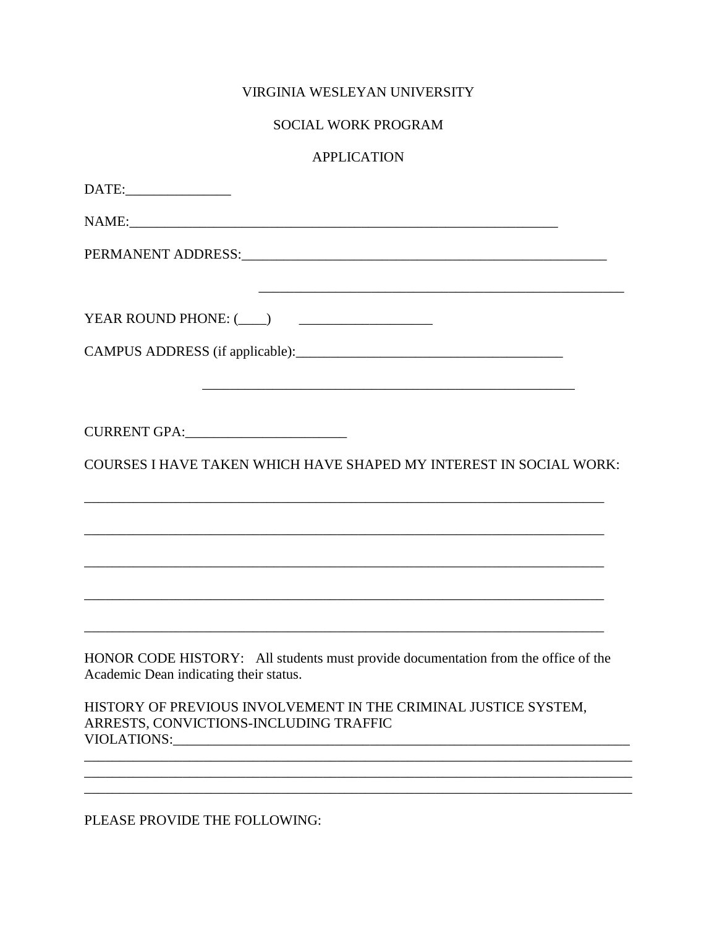## VIRGINIA WESLEYAN UNIVERSITY

## SOCIAL WORK PROGRAM

## **APPLICATION**

| NAME:                                                                                                                           |
|---------------------------------------------------------------------------------------------------------------------------------|
|                                                                                                                                 |
| YEAR ROUND PHONE: (___) _____________________                                                                                   |
|                                                                                                                                 |
|                                                                                                                                 |
| COURSES I HAVE TAKEN WHICH HAVE SHAPED MY INTEREST IN SOCIAL WORK:                                                              |
|                                                                                                                                 |
|                                                                                                                                 |
| HONOR CODE HISTORY: All students must provide documentation from the office of the<br>Academic Dean indicating their status.    |
| HISTORY OF PREVIOUS INVOLVEMENT IN THE CRIMINAL JUSTICE SYSTEM,<br>ARRESTS, CONVICTIONS-INCLUDING TRAFFIC<br><b>VIOLATIONS:</b> |
|                                                                                                                                 |
| <b>PLEASE PROVIDE THE EQLLOWING:</b>                                                                                            |

PLEASE PROVIDE THE FOLLOWING: